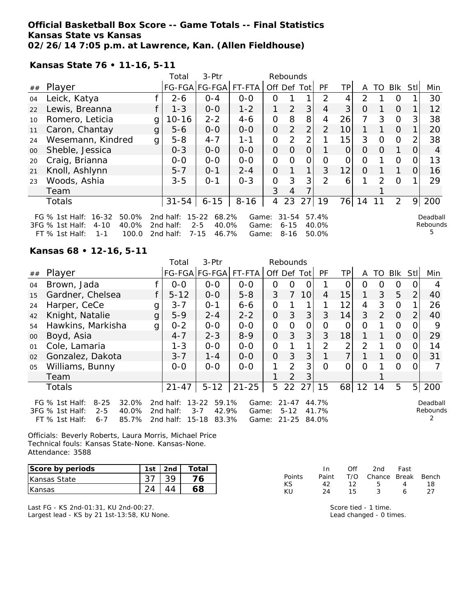### **Official Basketball Box Score -- Game Totals -- Final Statistics Kansas State vs Kansas 02/26/14 7:05 p.m. at Lawrence, Kan. (Allen Fieldhouse)**

**Kansas State 76 • 11-16, 5-11**

|    |                                                                            |   | Total                  | $3-Ptr$                                | Rebounds       |                |                       |                |                |                 |               |                |          |          |                    |
|----|----------------------------------------------------------------------------|---|------------------------|----------------------------------------|----------------|----------------|-----------------------|----------------|----------------|-----------------|---------------|----------------|----------|----------|--------------------|
| ## | Player                                                                     |   |                        | FG-FGA FG-FGA                          | FT-FTA         |                |                       | Off Def Tot    | <b>PF</b>      | TP <sub>1</sub> | A             | TO             | Blk      | Stll     | Min                |
| 04 | Leick, Katya                                                               |   | $2 - 6$                | $O - 4$                                | $0 - 0$        | 0              |                       |                | $\mathcal{P}$  | 4               | $\mathcal{P}$ |                | O        |          | 30                 |
| 22 | Lewis, Breanna                                                             |   | $1 - 3$                | $0 - 0$                                | $1 - 2$        | 1              | 2                     | 3              | $\overline{4}$ | 3               | $\Omega$      |                | $\Omega$ | 1        | 12                 |
| 10 | Romero, Leticia                                                            | g | 10-16                  | $2 - 2$                                | $4 - 6$        | $\Omega$       | 8                     | 8              | 4              | 26 <sup>1</sup> | 7             | 3              | $\Omega$ | 3        | 38                 |
| 11 | Caron, Chantay                                                             | g | $5 - 6$                | $0 - 0$                                | $0 - 0$        | $\Omega$       | 2                     | 2              | 2              | 10              |               |                | $\Omega$ | 1        | 20                 |
| 24 | Wesemann, Kindred                                                          | g | $5 - 8$                | $4 - 7$                                | $1 - 1$        | O              | 2                     | 2              |                | 15              | 3             | $\circ$        | $\Omega$ | 2        | 38                 |
| 00 | Sheble, Jessica                                                            |   | $0 - 3$                | $0 - 0$                                | $0 - 0$        | $\Omega$       | $\Omega$              | $\Omega$       | 1              | $\overline{O}$  | $\Omega$      | $\Omega$       | 1        | $\Omega$ | 4                  |
| 20 | Craig, Brianna                                                             |   | $0 - 0$                | $0 - 0$                                | $0 - 0$        | $\overline{O}$ | $\Omega$              | $\overline{O}$ | $\overline{O}$ |                 | $\Omega$      |                | 0        | 0        | 13                 |
| 21 | Knoll, Ashlynn                                                             |   | $5 - 7$                | $O - 1$                                | $2 - 4$        | $\Omega$       | 1                     | 1              | 3              | 12              | $\Omega$      | 1              | 1        | $\Omega$ | 16                 |
| 23 | Woods, Ashia                                                               |   | $3 - 5$                | $O - 1$                                | $O - 3$        | $\overline{O}$ | 3                     | 3              | $\overline{2}$ | 6               |               | $\overline{2}$ | $\Omega$ | 1.       | 29                 |
|    | Team                                                                       |   |                        |                                        |                | 3              | $\overline{4}$        |                |                |                 |               |                |          |          |                    |
|    | Totals                                                                     |   | $31 - 54$              | $6 - 15$                               | $8 - 16$       | 4              | 23                    | 27             | 19             | 76              | 14            | 11             | 2        | 9        | 200                |
|    | 16-32<br>50.0%<br>FG $%$ 1st Half:<br>40.0%<br>3FG % 1st Half:<br>$4 - 10$ |   | 2nd half:<br>2nd half: | $15 - 22$<br>68.2%<br>$2 - 5$<br>40.0% | Game:<br>Game: |                | $31 - 54$<br>$6 - 15$ |                | 57.4%<br>40.0% |                 |               |                |          |          | Deadbal<br>Rebound |

2nd half: 7-15 46.7% Game: 8-16 50.0%

Deadball Rebounds 5

**Kansas 68 • 12-16, 5-11**

FT  $%$  1st Half: 1-1

|        |                                                                                                                    |   | Total                               | 3-Ptr                                                        |                         |                | Rebounds                           |                |                         |                |          |    |          |                |                      |
|--------|--------------------------------------------------------------------------------------------------------------------|---|-------------------------------------|--------------------------------------------------------------|-------------------------|----------------|------------------------------------|----------------|-------------------------|----------------|----------|----|----------|----------------|----------------------|
| ##     | Player                                                                                                             |   |                                     | FG-FGA FG-FGA                                                | FT-FTA                  | Off Def Tot    |                                    |                | <b>PF</b>               | <b>TP</b>      | A        | TO | Blk      | Stll           | Min                  |
| 04     | Brown, Jada                                                                                                        |   | $0 - 0$                             | $0 - 0$                                                      | $0-0$                   | 0              | 0                                  | 0              |                         | Ο              | 0        | O  | 0        | O              |                      |
| 15     | Gardner, Chelsea                                                                                                   |   | $5 - 12$                            | $0-0$                                                        | $5 - 8$                 | 3              | $\overline{7}$                     | 10             | 4                       | 15             | 1        | 3  | 5        | 2              | 40                   |
| 24     | Harper, CeCe                                                                                                       | g | $3 - 7$                             | $O - 1$                                                      | $6 - 6$                 | $\overline{O}$ |                                    |                |                         | 12             | 4        | 3  | $\Omega$ |                | 26                   |
| 42     | Knight, Natalie                                                                                                    | g | $5 - 9$                             | $2 - 4$                                                      | $2 - 2$                 | 0              | 3                                  | 3              | 3                       | 14             | 3        | 2  | $\Omega$ | 2              | 40                   |
| 54     | Hawkins, Markisha                                                                                                  | g | $0 - 2$                             | $0 - 0$                                                      | $0 - 0$                 | O              | $\Omega$                           | $\overline{O}$ | 0                       | O              | 0        |    | $\Omega$ | O              | 9                    |
| $00\,$ | Boyd, Asia                                                                                                         |   | $4 - 7$                             | $2 - 3$                                                      | $8 - 9$                 | $\overline{O}$ | 3                                  | 3              | 3                       | 18             |          |    | $\Omega$ | 0              | 29                   |
| 01     | Cole, Lamaria                                                                                                      |   | $1 - 3$                             | $0-0$                                                        | $0-0$                   | 0              |                                    |                | 2                       | 2              | 2        |    | $\Omega$ | 0              | 14                   |
| 02     | Gonzalez, Dakota                                                                                                   |   | $3 - 7$                             | $1 - 4$                                                      | $0 - 0$                 | $\overline{O}$ | 3                                  | 3              |                         | $\overline{7}$ |          |    | $\Omega$ | 0              | 31                   |
| 05     | Williams, Bunny                                                                                                    |   | $0 - 0$                             | $0 - 0$                                                      | $0 - 0$                 | 1              | $\mathcal{P}$                      | 3              | $\Omega$                | O              | $\Omega$ |    | $\Omega$ | 0              |                      |
|        | Team                                                                                                               |   |                                     |                                                              |                         |                | 2                                  | 3              |                         |                |          |    |          |                |                      |
|        | <b>Totals</b>                                                                                                      |   | $21 - 47$                           | $5 - 12$                                                     | $21 - 25$               | 5              | 22                                 | 27             | 15                      | 68             | 12       | 14 | 5        | 5 <sup>1</sup> | 200                  |
|        | FG % 1st Half:<br>$8 - 25$<br>32.0%<br>3FG % 1st Half:<br>$2 - 5$<br>40.0%<br>$6 - 7$<br>85.7%<br>$FT$ % 1st Half: |   | 2nd half:<br>2nd half:<br>2nd half: | 59.1%<br>$13 - 22$<br>42.9%<br>$3 - 7$<br>$15 - 18$<br>83.3% | Game:<br>Game:<br>Game: |                | $21 - 47$<br>$5 - 12$<br>$21 - 25$ |                | 44.7%<br>41.7%<br>84.0% |                |          |    |          |                | Deadball<br>Rebounds |

Officials: Beverly Roberts, Laura Morris, Michael Price Technical fouls: Kansas State-None. Kansas-None. Attendance: 3588

| Score by periods | 1st | 2nd | Total |
|------------------|-----|-----|-------|
| Kansas State     |     |     | Ά     |
| <b>Kansas</b>    |     |     |       |

Last FG - KS 2nd-01:31, KU 2nd-00:27. Largest lead - KS by 21 1st-13:58, KU None.

|        | In.   | Off | 2nd -                  | Fast |    |
|--------|-------|-----|------------------------|------|----|
| Points | Paint |     | T/O Chance Break Bench |      |    |
| KS.    | 42.   | 12  | - 5                    | 4    | 18 |
| KU     | 24    | 15  | ર                      | А    | 27 |

Score tied - 1 time. Lead changed - 0 times.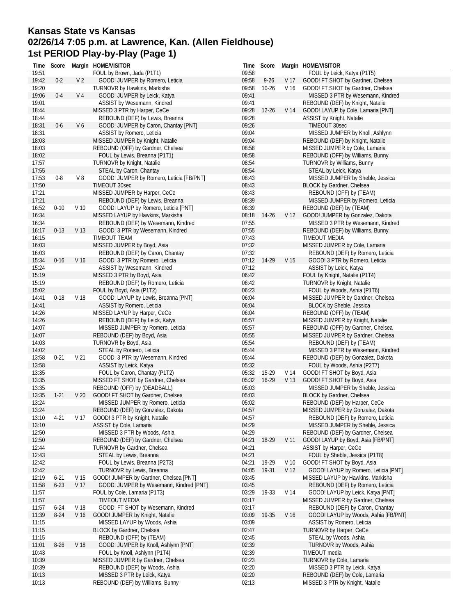### **Kansas State vs Kansas 02/26/14 7:05 p.m. at Lawrence, Kan. (Allen Fieldhouse) 1st PERIOD Play-by-Play (Page 1)**

| Time           | Score    |                 | Margin HOME/VISITOR                                                     |                | Time Score  |                 | Margin HOME/VISITOR                                                       |
|----------------|----------|-----------------|-------------------------------------------------------------------------|----------------|-------------|-----------------|---------------------------------------------------------------------------|
| 19:51          |          |                 | FOUL by Brown, Jada (P1T1)                                              | 09:58          |             |                 | FOUL by Leick, Katya (P1T5)                                               |
| 19:42          | $0 - 2$  | V 2             | GOOD! JUMPER by Romero, Leticia                                         | 09:58          | $9 - 26$    | V 17            | GOOD! FT SHOT by Gardner, Chelsea                                         |
| 19:20          |          |                 | TURNOVR by Hawkins, Markisha                                            | 09:58          | $10 - 26$   | V 16            | GOOD! FT SHOT by Gardner, Chelsea                                         |
| 19:06          | $0 - 4$  | V <sub>4</sub>  | GOOD! JUMPER by Leick, Katya                                            | 09:41          |             |                 | MISSED 3 PTR by Wesemann, Kindred                                         |
| 19:01          |          |                 | ASSIST by Wesemann, Kindred                                             | 09:41          |             |                 | REBOUND (DEF) by Knight, Natalie                                          |
| 18:44          |          |                 | MISSED 3 PTR by Harper, CeCe                                            | 09:28          | $12 - 26$   | V 14            | GOOD! LAYUP by Cole, Lamaria [PNT]                                        |
| 18:44          |          |                 | REBOUND (DEF) by Lewis, Breanna                                         | 09:28          |             |                 | <b>ASSIST by Knight, Natalie</b>                                          |
| 18:31          | $0-6$    | V6              | GOOD! JUMPER by Caron, Chantay [PNT]                                    | 09:26          |             |                 | TIMEOUT 30sec                                                             |
| 18:31          |          |                 | ASSIST by Romero, Leticia                                               | 09:04          |             |                 | MISSED JUMPER by Knoll, Ashlynn                                           |
| 18:03          |          |                 | MISSED JUMPER by Knight, Natalie                                        | 09:04          |             |                 | REBOUND (DEF) by Knight, Natalie                                          |
| 18:03          |          |                 | REBOUND (OFF) by Gardner, Chelsea                                       | 08:58          |             |                 | MISSED JUMPER by Cole, Lamaria                                            |
| 18:02          |          |                 | FOUL by Lewis, Breanna (P1T1)                                           | 08:58          |             |                 | REBOUND (OFF) by Williams, Bunny                                          |
| 17:57          |          |                 | TURNOVR by Knight, Natalie                                              | 08:54          |             |                 | <b>TURNOVR by Williams, Bunny</b>                                         |
| 17:55          |          |                 | STEAL by Caron, Chantay                                                 | 08:54          |             |                 | STEAL by Leick, Katya                                                     |
| 17:53          | $0 - 8$  | V8              | GOOD! JUMPER by Romero, Leticia [FB/PNT]                                | 08:43          |             |                 | MISSED JUMPER by Sheble, Jessica                                          |
| 17:50          |          |                 | TIMEOUT 30sec                                                           | 08:43          |             |                 | BLOCK by Gardner, Chelsea                                                 |
| 17:21          |          |                 | MISSED JUMPER by Harper, CeCe                                           | 08:43          |             |                 | REBOUND (OFF) by (TEAM)                                                   |
| 17:21          |          |                 | REBOUND (DEF) by Lewis, Breanna                                         | 08:39          |             |                 | MISSED JUMPER by Romero, Leticia                                          |
| 16:52<br>16:34 | $0 - 10$ | V <sub>10</sub> | GOOD! LAYUP by Romero, Leticia [PNT]                                    | 08:39<br>08:18 | 14-26       | V <sub>12</sub> | REBOUND (DEF) by (TEAM)<br>GOOD! JUMPER by Gonzalez, Dakota               |
| 16:34          |          |                 | MISSED LAYUP by Hawkins, Markisha<br>REBOUND (DEF) by Wesemann, Kindred | 07:55          |             |                 | MISSED 3 PTR by Wesemann, Kindred                                         |
| 16:17          | $0 - 13$ | V <sub>13</sub> | GOOD! 3 PTR by Wesemann, Kindred                                        | 07:55          |             |                 | REBOUND (DEF) by Williams, Bunny                                          |
| 16:15          |          |                 | TIMEOUT TEAM                                                            | 07:43          |             |                 | TIMEOUT MEDIA                                                             |
| 16:03          |          |                 | MISSED JUMPER by Boyd, Asia                                             | 07:32          |             |                 | MISSED JUMPER by Cole, Lamaria                                            |
| 16:03          |          |                 | REBOUND (DEF) by Caron, Chantay                                         | 07:32          |             |                 | REBOUND (DEF) by Romero, Leticia                                          |
| 15:34          | $0 - 16$ | V 16            | GOOD! 3 PTR by Romero, Leticia                                          |                | 07:12 14-29 | V <sub>15</sub> | GOOD! 3 PTR by Romero, Leticia                                            |
| 15:24          |          |                 | ASSIST by Wesemann, Kindred                                             | 07:12          |             |                 | ASSIST by Leick, Katya                                                    |
| 15:19          |          |                 | MISSED 3 PTR by Boyd, Asia                                              | 06:42          |             |                 | FOUL by Knight, Natalie (P1T4)                                            |
| 15:19          |          |                 | REBOUND (DEF) by Romero, Leticia                                        | 06:42          |             |                 | TURNOVR by Knight, Natalie                                                |
| 15:02          |          |                 | FOUL by Boyd, Asia (P1T2)                                               | 06:23          |             |                 | FOUL by Woods, Ashia (P1T6)                                               |
| 14:41          | $0 - 18$ | V 18            | GOOD! LAYUP by Lewis, Breanna [PNT]                                     | 06:04          |             |                 | MISSED JUMPER by Gardner, Chelsea                                         |
| 14:41          |          |                 | ASSIST by Romero, Leticia                                               | 06:04          |             |                 | <b>BLOCK by Sheble, Jessica</b>                                           |
| 14:26          |          |                 | MISSED LAYUP by Harper, CeCe                                            | 06:04          |             |                 | REBOUND (OFF) by (TEAM)                                                   |
| 14:26          |          |                 | REBOUND (DEF) by Leick, Katya                                           | 05:57          |             |                 | MISSED JUMPER by Knight, Natalie                                          |
| 14:07          |          |                 | MISSED JUMPER by Romero, Leticia                                        | 05:57          |             |                 | REBOUND (OFF) by Gardner, Chelsea                                         |
| 14:07          |          |                 | REBOUND (DEF) by Boyd, Asia                                             | 05:55          |             |                 | MISSED JUMPER by Gardner, Chelsea                                         |
| 14:03          |          |                 | TURNOVR by Boyd, Asia                                                   | 05:54          |             |                 | REBOUND (DEF) by (TEAM)                                                   |
| 14:02          |          |                 | STEAL by Romero, Leticia                                                | 05:44          |             |                 | MISSED 3 PTR by Wesemann, Kindred                                         |
| 13:58          | $0 - 21$ | V 21            | GOOD! 3 PTR by Wesemann, Kindred                                        | 05:44          |             |                 | REBOUND (DEF) by Gonzalez, Dakota                                         |
| 13:58          |          |                 | ASSIST by Leick, Katya                                                  | 05:32          |             |                 | FOUL by Woods, Ashia (P2T7)                                               |
| 13:35          |          |                 | FOUL by Caron, Chantay (P1T2)                                           | 05:32          | 15-29       | V 14            | GOOD! FT SHOT by Boyd, Asia                                               |
| 13:35          |          |                 | MISSED FT SHOT by Gardner, Chelsea                                      | 05:32          | $16-29$     | V 13            | GOOD! FT SHOT by Boyd, Asia                                               |
| 13:35          |          |                 | REBOUND (OFF) by (DEADBALL)                                             | 05:03          |             |                 | MISSED JUMPER by Sheble, Jessica                                          |
| 13:35          | $1-21$   | V <sub>20</sub> | GOOD! FT SHOT by Gardner, Chelsea                                       | 05:03          |             |                 | <b>BLOCK by Gardner, Chelsea</b>                                          |
| 13:24          |          |                 | MISSED JUMPER by Romero, Leticia                                        | 05:02          |             |                 | REBOUND (DEF) by Harper, CeCe                                             |
| 13:24          |          |                 | REBOUND (DEF) by Gonzalez, Dakota                                       | 04:57          |             |                 | MISSED JUMPER by Gonzalez, Dakota                                         |
| 13:10          | $4 - 21$ |                 | V 17 GOOD! 3 PTR by Knight, Natalie                                     | 04:57          |             |                 | REBOUND (DEF) by Romero, Leticia                                          |
| 13:10          |          |                 | ASSIST by Cole, Lamaria                                                 | 04:29          |             |                 | MISSED JUMPER by Sheble, Jessica                                          |
| 12:50          |          |                 | MISSED 3 PTR by Woods, Ashia                                            | 04:29          |             |                 | REBOUND (DEF) by Gardner, Chelsea                                         |
| 12:50          |          |                 | REBOUND (DEF) by Gardner, Chelsea                                       | 04:21          | 18-29       | V 11            | GOOD! LAYUP by Boyd, Asia [FB/PNT]                                        |
| 12:44          |          |                 | <b>TURNOVR by Gardner, Chelsea</b>                                      | 04:21          |             |                 | ASSIST by Harper, CeCe                                                    |
| 12:43          |          |                 | STEAL by Lewis, Breanna                                                 | 04:21          |             |                 | FOUL by Sheble, Jessica (P1T8)                                            |
| 12:42          |          |                 | FOUL by Lewis, Breanna (P2T3)                                           | 04:21          | 19-29       | V <sub>10</sub> | GOOD! FT SHOT by Boyd, Asia                                               |
| 12:42<br>12:19 | $6 - 21$ | V <sub>15</sub> | TURNOVR by Lewis, Breanna<br>GOOD! JUMPER by Gardner, Chelsea [PNT]     | 04:05          | 19-31       | V <sub>12</sub> | GOOD! LAYUP by Romero, Leticia [PNT]<br>MISSED LAYUP by Hawkins, Markisha |
| 11:58          | $6 - 23$ | V 17            | GOOD! JUMPER by Wesemann, Kindred [PNT]                                 | 03:45<br>03:45 |             |                 |                                                                           |
| 11:57          |          |                 | FOUL by Cole, Lamaria (P1T3)                                            | 03:29          | 19-33       | V 14            | REBOUND (DEF) by Romero, Leticia<br>GOOD! LAYUP by Leick, Katya [PNT]     |
| 11:57          |          |                 | TIMEOUT MEDIA                                                           | 03:17          |             |                 | MISSED JUMPER by Gardner, Chelsea                                         |
| 11:57          | $6 - 24$ | V 18            | GOOD! FT SHOT by Wesemann, Kindred                                      | 03:17          |             |                 | REBOUND (DEF) by Caron, Chantay                                           |
| 11:39          | $8 - 24$ | V 16            | GOOD! JUMPER by Knight, Natalie                                         | 03:09          | 19-35       | V 16            | GOOD! LAYUP by Woods, Ashia [FB/PNT]                                      |
| 11:15          |          |                 | MISSED LAYUP by Woods, Ashia                                            | 03:09          |             |                 | ASSIST by Romero, Leticia                                                 |
| 11:15          |          |                 | <b>BLOCK by Gardner, Chelsea</b>                                        | 02:47          |             |                 | <b>TURNOVR by Harper, CeCe</b>                                            |
| 11:15          |          |                 | REBOUND (OFF) by (TEAM)                                                 | 02:45          |             |                 | STEAL by Woods, Ashia                                                     |
| 11:01          | $8 - 26$ | V <sub>18</sub> | GOOD! JUMPER by Knoll, Ashlynn [PNT]                                    | 02:39          |             |                 | TURNOVR by Woods, Ashia                                                   |
| 10:43          |          |                 | FOUL by Knoll, Ashlynn (P1T4)                                           | 02:39          |             |                 | TIMEOUT media                                                             |
| 10:39          |          |                 | MISSED JUMPER by Gardner, Chelsea                                       | 02:23          |             |                 | TURNOVR by Cole, Lamaria                                                  |
| 10:39          |          |                 | REBOUND (DEF) by Woods, Ashia                                           | 02:20          |             |                 | MISSED 3 PTR by Leick, Katya                                              |
| 10:13          |          |                 | MISSED 3 PTR by Leick, Katya                                            | 02:20          |             |                 | REBOUND (DEF) by Cole, Lamaria                                            |
| 10:13          |          |                 | REBOUND (DEF) by Williams, Bunny                                        | 02:13          |             |                 | MISSED 3 PTR by Knight, Natalie                                           |
|                |          |                 |                                                                         |                |             |                 |                                                                           |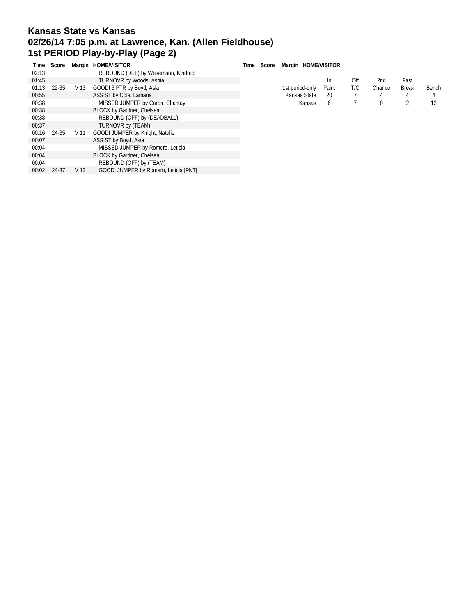# **Kansas State vs Kansas 02/26/14 7:05 p.m. at Lawrence, Kan. (Allen Fieldhouse) 1st PERIOD Play-by-Play (Page 2)**

| Time  | Score |      | Margin HOME/VISITOR                   | Time | Score | Margin HOME/VISITOR |       |     |        |              |       |
|-------|-------|------|---------------------------------------|------|-------|---------------------|-------|-----|--------|--------------|-------|
| 02:13 |       |      | REBOUND (DEF) by Wesemann, Kindred    |      |       |                     |       |     |        |              |       |
| 01:45 |       |      | TURNOVR by Woods, Ashia               |      |       |                     | In    | Off | 2nd    | Fast         |       |
| 01:13 | 22-35 | V 13 | GOOD! 3 PTR by Boyd, Asia             |      |       | 1st period-only     | Paint | T/O | Chance | <b>Break</b> | Bench |
| 00:55 |       |      | ASSIST by Cole, Lamaria               |      |       | Kansas State        | 20    |     |        | 4            | 4     |
| 00:38 |       |      | MISSED JUMPER by Caron, Chantay       |      |       | Kansas              | 6     |     |        | 2            | 12    |
| 00:38 |       |      | BLOCK by Gardner, Chelsea             |      |       |                     |       |     |        |              |       |
| 00:38 |       |      | REBOUND (OFF) by (DEADBALL)           |      |       |                     |       |     |        |              |       |
| 00:37 |       |      | TURNOVR by (TEAM)                     |      |       |                     |       |     |        |              |       |
| 00:16 | 24-35 | V 11 | GOOD! JUMPER by Knight, Natalie       |      |       |                     |       |     |        |              |       |
| 00:07 |       |      | ASSIST by Boyd, Asia                  |      |       |                     |       |     |        |              |       |
| 00:04 |       |      | MISSED JUMPER by Romero, Leticia      |      |       |                     |       |     |        |              |       |
| 00:04 |       |      | <b>BLOCK by Gardner, Chelsea</b>      |      |       |                     |       |     |        |              |       |
| 00:04 |       |      | REBOUND (OFF) by (TEAM)               |      |       |                     |       |     |        |              |       |
| 00:02 | 24-37 | V 13 | GOOD! JUMPER by Romero, Leticia [PNT] |      |       |                     |       |     |        |              |       |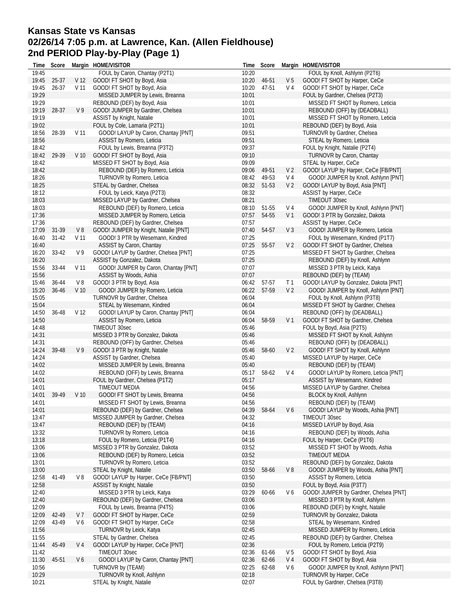## **Kansas State vs Kansas 02/26/14 7:05 p.m. at Lawrence, Kan. (Allen Fieldhouse) 2nd PERIOD Play-by-Play (Page 1)**

| Time           | Score     |                 | Margin HOME/VISITOR                                                   |                | Time Score |                | Margin HOME/VISITOR                                             |
|----------------|-----------|-----------------|-----------------------------------------------------------------------|----------------|------------|----------------|-----------------------------------------------------------------|
| 19:45          |           |                 | FOUL by Caron, Chantay (P2T1)                                         | 10:20          |            |                | FOUL by Knoll, Ashlynn (P2T6)                                   |
| 19:45          | 25-37     | V 12            | GOOD! FT SHOT by Boyd, Asia                                           | 10:20          | 46-51      | V 5            | GOOD! FT SHOT by Harper, CeCe                                   |
| 19:45          | 26-37     | V 11            | GOOD! FT SHOT by Boyd, Asia                                           | 10:20          | 47-51      | V 4            | GOOD! FT SHOT by Harper, CeCe                                   |
| 19:29          |           |                 | MISSED JUMPER by Lewis, Breanna                                       | 10:01          |            |                | FOUL by Gardner, Chelsea (P2T3)                                 |
| 19:29          |           |                 | REBOUND (DEF) by Boyd, Asia                                           | 10:01          |            |                | MISSED FT SHOT by Romero, Leticia                               |
| 19:19          | 28-37     | V <sub>9</sub>  | GOOD! JUMPER by Gardner, Chelsea                                      | 10:01          |            |                | REBOUND (OFF) by (DEADBALL)                                     |
| 19:19          |           |                 | ASSIST by Knight, Natalie                                             | 10:01          |            |                | MISSED FT SHOT by Romero, Leticia                               |
| 19:02          |           | V <sub>11</sub> | FOUL by Cole, Lamaria (P2T1)                                          | 10:01<br>09:51 |            |                | REBOUND (DEF) by Boyd, Asia<br>TURNOVR by Gardner, Chelsea      |
| 18:56<br>18:56 | 28-39     |                 | GOOD! LAYUP by Caron, Chantay [PNT]<br>ASSIST by Romero, Leticia      | 09:51          |            |                | STEAL by Romero, Leticia                                        |
| 18:42          |           |                 | FOUL by Lewis, Breanna (P3T2)                                         | 09:37          |            |                | FOUL by Knight, Natalie (P2T4)                                  |
| 18:42          | 29-39     | V <sub>10</sub> | GOOD! FT SHOT by Boyd, Asia                                           | 09:10          |            |                | TURNOVR by Caron, Chantay                                       |
| 18:42          |           |                 | MISSED FT SHOT by Boyd, Asia                                          | 09:09          |            |                | STEAL by Harper, CeCe                                           |
| 18:42          |           |                 | REBOUND (DEF) by Romero, Leticia                                      | 09:06          | 49-51      | V 2            | GOOD! LAYUP by Harper, CeCe [FB/PNT]                            |
| 18:26          |           |                 | TURNOVR by Romero, Leticia                                            | 08:42          | 49-53      | V 4            | GOOD! JUMPER by Knoll, Ashlynn [PNT]                            |
| 18:25          |           |                 | STEAL by Gardner, Chelsea                                             | 08:32          | 51-53      | V <sub>2</sub> | GOOD! LAYUP by Boyd, Asia [PNT]                                 |
| 18:12          |           |                 | FOUL by Leick, Katya (P2T3)                                           | 08:32          |            |                | ASSIST by Harper, CeCe                                          |
| 18:03          |           |                 | MISSED LAYUP by Gardner, Chelsea                                      | 08:21          |            |                | TIMEOUT 30sec                                                   |
| 18:03          |           |                 | REBOUND (DEF) by Romero, Leticia                                      | 08:10          | 51-55      | V 4            | GOOD! JUMPER by Knoll, Ashlynn [PNT]                            |
| 17:36          |           |                 | MISSED JUMPER by Romero, Leticia                                      | 07:57          | 54-55      |                | V 1 GOOD! 3 PTR by Gonzalez, Dakota                             |
| 17:36          |           |                 | REBOUND (DEF) by Gardner, Chelsea                                     | 07:57          |            |                | ASSIST by Harper, CeCe                                          |
| 17:09          | 31-39     | V8              | GOOD! JUMPER by Knight, Natalie [PNT]                                 | 07:40          | 54-57      | V <sub>3</sub> | GOOD! JUMPER by Romero, Leticia                                 |
| 16:40          | $31 - 42$ | V 11            | GOOD! 3 PTR by Wesemann, Kindred                                      | 07:25          |            |                | FOUL by Wesemann, Kindred (P1T7)                                |
| 16:40          |           |                 | ASSIST by Caron, Chantay                                              | 07:25          | 55-57      | V <sub>2</sub> | GOOD! FT SHOT by Gardner, Chelsea                               |
| 16:20          | 33-42     | V9              | GOOD! LAYUP by Gardner, Chelsea [PNT]                                 | 07:25          |            |                | MISSED FT SHOT by Gardner, Chelsea                              |
| 16:20          |           |                 | ASSIST by Gonzalez, Dakota                                            | 07:25          |            |                | REBOUND (DEF) by Knoll, Ashlynn                                 |
| 15:56          | 33-44     | V 11            | GOOD! JUMPER by Caron, Chantay [PNT]                                  | 07:07          |            |                | MISSED 3 PTR by Leick, Katya                                    |
| 15:56          |           |                 | ASSIST by Woods, Ashia                                                | 07:07          |            |                | REBOUND (DEF) by (TEAM)                                         |
| 15:46          | 36-44     | V8              | GOOD! 3 PTR by Boyd, Asia                                             | 06:42          | 57-57      | T 1            | GOOD! LAYUP by Gonzalez, Dakota [PNT]                           |
| 15:20          | 36-46     | V <sub>10</sub> | GOOD! JUMPER by Romero, Leticia                                       | 06:22          | 57-59      | V <sub>2</sub> | GOOD! JUMPER by Knoll, Ashlynn [PNT]                            |
| 15:05          |           |                 | TURNOVR by Gardner, Chelsea                                           | 06:04          |            |                | FOUL by Knoll, Ashlynn (P3T8)                                   |
| 15:04          |           |                 | STEAL by Wesemann, Kindred                                            | 06:04          |            |                | MISSED FT SHOT by Gardner, Chelsea                              |
| 14:50          | 36-48     | V <sub>12</sub> | GOOD! LAYUP by Caron, Chantay [PNT]                                   | 06:04          |            |                | REBOUND (OFF) by (DEADBALL)                                     |
| 14:50          |           |                 | ASSIST by Romero, Leticia                                             | 06:04          | 58-59      | V <sub>1</sub> | GOOD! FT SHOT by Gardner, Chelsea                               |
| 14:48<br>14:31 |           |                 | TIMEOUT 30sec                                                         | 05:46<br>05:46 |            |                | FOUL by Boyd, Asia (P2T5)                                       |
| 14:31          |           |                 | MISSED 3 PTR by Gonzalez, Dakota<br>REBOUND (OFF) by Gardner, Chelsea | 05:46          |            |                | MISSED FT SHOT by Knoll, Ashlynn<br>REBOUND (OFF) by (DEADBALL) |
| 14:24          | 39-48     | V <sub>9</sub>  | GOOD! 3 PTR by Knight, Natalie                                        | 05:46          | 58-60      | V <sub>2</sub> | GOOD! FT SHOT by Knoll, Ashlynn                                 |
| 14:24          |           |                 | ASSIST by Gardner, Chelsea                                            | 05:40          |            |                | MISSED LAYUP by Harper, CeCe                                    |
| 14:02          |           |                 | MISSED JUMPER by Lewis, Breanna                                       | 05:40          |            |                | REBOUND (DEF) by (TEAM)                                         |
| 14:02          |           |                 | REBOUND (OFF) by Lewis, Breanna                                       | 05:17          | 58-62      | V 4            | GOOD! LAYUP by Romero, Leticia [PNT]                            |
| 14:01          |           |                 | FOUL by Gardner, Chelsea (P1T2)                                       | 05:17          |            |                | ASSIST by Wesemann, Kindred                                     |
| 14:01          |           |                 | TIMEOUT MEDIA                                                         | 04:56          |            |                | MISSED LAYUP by Gardner, Chelsea                                |
| 14:01          | 39-49     | V <sub>10</sub> | GOOD! FT SHOT by Lewis, Breanna                                       | 04:56          |            |                | BLOCK by Knoll, Ashlynn                                         |
| 14:01          |           |                 | MISSED FT SHOT by Lewis, Breanna                                      | 04:56          |            |                | REBOUND (DEF) by (TEAM)                                         |
| 14:01          |           |                 | REBOUND (DEF) by Gardner, Chelsea                                     |                |            | 04:39 58-64 V6 | GOOD! LAYUP by Woods, Ashia [PNT]                               |
| 13:47          |           |                 | MISSED JUMPER by Gardner, Chelsea                                     | 04:32          |            |                | TIMEOUT 30sec                                                   |
| 13:47          |           |                 | REBOUND (DEF) by (TEAM)                                               | 04:16          |            |                | MISSED LAYUP by Boyd, Asia                                      |
| 13:32          |           |                 | TURNOVR by Romero, Leticia                                            | 04:16          |            |                | REBOUND (DEF) by Woods, Ashia                                   |
| 13:18          |           |                 | FOUL by Romero, Leticia (P1T4)                                        | 04:16          |            |                | FOUL by Harper, CeCe (P1T6)                                     |
| 13:06          |           |                 | MISSED 3 PTR by Gonzalez, Dakota                                      | 03:52          |            |                | MISSED FT SHOT by Woods, Ashia                                  |
| 13:06          |           |                 | REBOUND (DEF) by Romero, Leticia                                      | 03:52          |            |                | TIMEOUT MEDIA                                                   |
| 13:01          |           |                 | TURNOVR by Romero, Leticia                                            | 03:52          |            |                | REBOUND (DEF) by Gonzalez, Dakota                               |
| 13:00          |           |                 | STEAL by Knight, Natalie                                              | 03:50          | 58-66      | V8             | GOOD! JUMPER by Woods, Ashia [PNT]                              |
| 12:58          | 41-49     | V8              | GOOD! LAYUP by Harper, CeCe [FB/PNT]                                  | 03:50          |            |                | ASSIST by Romero, Leticia                                       |
| 12:58          |           |                 | ASSIST by Knight, Natalie                                             | 03:50          |            |                | FOUL by Boyd, Asia (P3T7)                                       |
| 12:40          |           |                 | MISSED 3 PTR by Leick, Katya                                          | 03:29          | 60-66      | V6             | GOOD! JUMPER by Gardner, Chelsea [PNT]                          |
| 12:40<br>12:09 |           |                 | REBOUND (DEF) by Gardner, Chelsea                                     | 03:06<br>03:06 |            |                | MISSED 3 PTR by Knoll, Ashlynn                                  |
| 12:09          | 42-49     | V 7             | FOUL by Lewis, Breanna (P4T5)<br>GOOD! FT SHOT by Harper, CeCe        | 02:59          |            |                | REBOUND (DEF) by Knight, Natalie<br>TURNOVR by Gonzalez, Dakota |
| 12:09          | 43-49     | V6              | GOOD! FT SHOT by Harper, CeCe                                         | 02:58          |            |                | STEAL by Wesemann, Kindred                                      |
| 11:56          |           |                 | TURNOVR by Leick, Katya                                               | 02:45          |            |                | MISSED JUMPER by Romero, Leticia                                |
| 11:55          |           |                 | STEAL by Gardner, Chelsea                                             | 02:45          |            |                | REBOUND (DEF) by Gardner, Chelsea                               |
| 11:44          | 45-49     | V 4             | GOOD! LAYUP by Harper, CeCe [PNT]                                     | 02:36          |            |                | FOUL by Romero, Leticia (P2T9)                                  |
| 11:42          |           |                 | TIMEOUT 30sec                                                         | 02:36          | 61-66      | V 5            | GOOD! FT SHOT by Boyd, Asia                                     |
| 11:30          | 45-51     | V6              | GOOD! LAYUP by Caron, Chantay [PNT]                                   | 02:36          | 62-66      | V 4            | GOOD! FT SHOT by Boyd, Asia                                     |
| 10:56          |           |                 | TURNOVR by (TEAM)                                                     | 02:25          | 62-68      | V6             | GOOD! JUMPER by Knoll, Ashlynn [PNT]                            |
| 10:29          |           |                 | TURNOVR by Knoll, Ashlynn                                             | 02:18          |            |                | TURNOVR by Harper, CeCe                                         |
| 10:21          |           |                 | STEAL by Knight, Natalie                                              | 02:07          |            |                | FOUL by Gardner, Chelsea (P3T8)                                 |
|                |           |                 |                                                                       |                |            |                |                                                                 |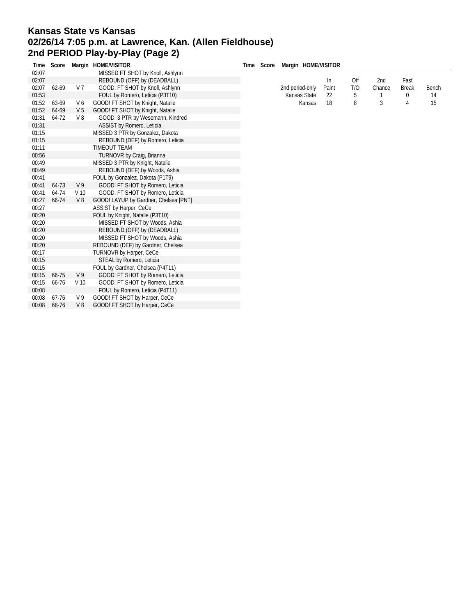## **Kansas State vs Kansas 02/26/14 7:05 p.m. at Lawrence, Kan. (Allen Fieldhouse) 2nd PERIOD Play-by-Play (Page 2)**

| Time  | Score |                 | Margin HOME/VISITOR                   | Time Score | Margin HOME/VISITOR |       |     |        |              |       |
|-------|-------|-----------------|---------------------------------------|------------|---------------------|-------|-----|--------|--------------|-------|
| 02:07 |       |                 | MISSED FT SHOT by Knoll, Ashlynn      |            |                     |       |     |        |              |       |
| 02:07 |       |                 | REBOUND (OFF) by (DEADBALL)           |            |                     | In    | Off | 2nd    | Fast         |       |
| 02:07 | 62-69 | V 7             | GOOD! FT SHOT by Knoll, Ashlynn       |            | 2nd period-only     | Paint | T/O | Chance | <b>Break</b> | Bench |
| 01:53 |       |                 | FOUL by Romero, Leticia (P3T10)       |            | Kansas State        | 22    | 5   |        | 0            | 14    |
| 01:52 | 63-69 | V6              | GOOD! FT SHOT by Knight, Natalie      |            | Kansas              | 18    | 8   | 3      | 4            | 15    |
| 01:52 | 64-69 | V <sub>5</sub>  | GOOD! FT SHOT by Knight, Natalie      |            |                     |       |     |        |              |       |
| 01:31 | 64-72 | V8              | GOOD! 3 PTR by Wesemann, Kindred      |            |                     |       |     |        |              |       |
| 01:31 |       |                 | ASSIST by Romero, Leticia             |            |                     |       |     |        |              |       |
| 01:15 |       |                 | MISSED 3 PTR by Gonzalez, Dakota      |            |                     |       |     |        |              |       |
| 01:15 |       |                 | REBOUND (DEF) by Romero, Leticia      |            |                     |       |     |        |              |       |
| 01:11 |       |                 | <b>TIMEOUT TEAM</b>                   |            |                     |       |     |        |              |       |
| 00:56 |       |                 | TURNOVR by Craig, Brianna             |            |                     |       |     |        |              |       |
| 00:49 |       |                 | MISSED 3 PTR by Knight, Natalie       |            |                     |       |     |        |              |       |
| 00:49 |       |                 | REBOUND (DEF) by Woods, Ashia         |            |                     |       |     |        |              |       |
| 00:41 |       |                 | FOUL by Gonzalez, Dakota (P1T9)       |            |                     |       |     |        |              |       |
| 00:41 | 64-73 | V <sub>9</sub>  | GOOD! FT SHOT by Romero, Leticia      |            |                     |       |     |        |              |       |
| 00:41 | 64-74 | V <sub>10</sub> | GOOD! FT SHOT by Romero, Leticia      |            |                     |       |     |        |              |       |
| 00:27 | 66-74 | V8              | GOOD! LAYUP by Gardner, Chelsea [PNT] |            |                     |       |     |        |              |       |
| 00:27 |       |                 | ASSIST by Harper, CeCe                |            |                     |       |     |        |              |       |
| 00:20 |       |                 | FOUL by Knight, Natalie (P3T10)       |            |                     |       |     |        |              |       |
| 00:20 |       |                 | MISSED FT SHOT by Woods, Ashia        |            |                     |       |     |        |              |       |
| 00:20 |       |                 | REBOUND (OFF) by (DEADBALL)           |            |                     |       |     |        |              |       |
| 00:20 |       |                 | MISSED FT SHOT by Woods, Ashia        |            |                     |       |     |        |              |       |
| 00:20 |       |                 | REBOUND (DEF) by Gardner, Chelsea     |            |                     |       |     |        |              |       |
| 00:17 |       |                 | <b>TURNOVR by Harper, CeCe</b>        |            |                     |       |     |        |              |       |
| 00:15 |       |                 | STEAL by Romero, Leticia              |            |                     |       |     |        |              |       |
| 00:15 |       |                 | FOUL by Gardner, Chelsea (P4T11)      |            |                     |       |     |        |              |       |
| 00:15 | 66-75 | V <sub>9</sub>  | GOOD! FT SHOT by Romero, Leticia      |            |                     |       |     |        |              |       |
| 00:15 | 66-76 | V <sub>10</sub> | GOOD! FT SHOT by Romero, Leticia      |            |                     |       |     |        |              |       |
| 00:08 |       |                 | FOUL by Romero, Leticia (P4T11)       |            |                     |       |     |        |              |       |
| 00:08 | 67-76 | V <sub>9</sub>  | GOOD! FT SHOT by Harper, CeCe         |            |                     |       |     |        |              |       |
| 00:08 | 68-76 | V8              | GOOD! FT SHOT by Harper, CeCe         |            |                     |       |     |        |              |       |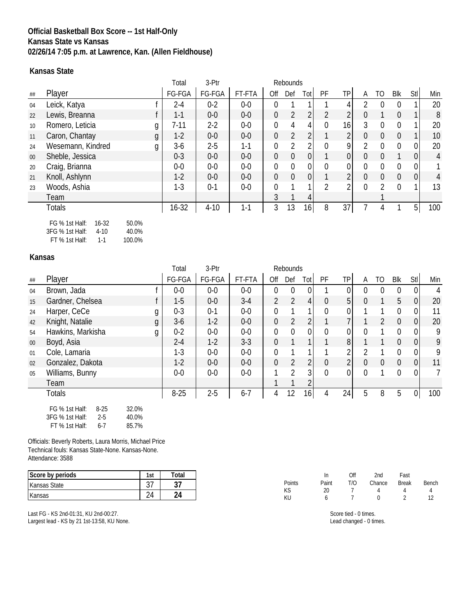### **Official Basketball Box Score -- 1st Half-Only Kansas State vs Kansas 02/26/14 7:05 p.m. at Lawrence, Kan. (Allen Fieldhouse)**

#### **Kansas State**

|    |                                      |   | Total    | 3-Ptr    | Rebounds |                  |                |                |                |                |          |                |                |                |                |
|----|--------------------------------------|---|----------|----------|----------|------------------|----------------|----------------|----------------|----------------|----------|----------------|----------------|----------------|----------------|
| ## | Player                               |   | FG-FGA   | FG-FGA   | FT-FTA   | Off              | Def            | Totl           | PF             | <b>TP</b>      | A        | TO.            | Blk            | Stl            | Min            |
| 04 | Leick, Katya                         |   | 2-4      | $0 - 2$  | $0-0$    | $\Omega$         |                |                |                |                |          | 0              |                |                | 20             |
| 22 | Lewis, Breanna                       |   | $1 - 1$  | $0-0$    | $0-0$    | $\boldsymbol{0}$ | $\overline{2}$ | $\overline{2}$ | $\overline{2}$ | 2 <sup>1</sup> | $\Omega$ |                | $\overline{0}$ |                | 8              |
| 10 | Romero, Leticia                      | g | $7 - 11$ | $2-2$    | $0-0$    | $\mathbf 0$      | 4              | 4              | $\theta$       | 16             | 3        | 0              | $\Omega$       |                | 20             |
| 11 | Caron, Chantay                       | g | $1-2$    | $0-0$    | $0-0$    | $\overline{0}$   | $\overline{2}$ | $\overline{2}$ |                | $\overline{2}$ | $\Omega$ | $\mathbf 0$    | $\overline{0}$ |                | 10             |
| 24 | Wesemann, Kindred                    | g | $3-6$    | $2 - 5$  | $1 - 1$  | 0                | $\overline{2}$ | 2              | $\mathbf{0}$   | 9              | 2        | $\mathbf{0}$   | $\Omega$       | 0              | 20             |
| 00 | Sheble, Jessica                      |   | $0 - 3$  | $0-0$    | $0-0$    | $\mathbf 0$      | $\theta$       | 0              |                | $\overline{0}$ | $\Omega$ | $\theta$       |                | $\mathbf 0$    | $\overline{4}$ |
| 20 | Craig, Brianna                       |   | $0-0$    | $0-0$    | $0-0$    | $\overline{0}$   | $\mathbf 0$    | 0              | $\theta$       | 0              | $\Omega$ | $\mathbf{0}$   | $\Omega$       | 0              |                |
| 21 | Knoll, Ashlynn                       |   | $1 - 2$  | $0-0$    | $0-0$    | $\overline{0}$   | $\overline{0}$ | $\overline{0}$ |                | 2              | $\Omega$ | $\overline{0}$ | $\Omega$       | $\overline{0}$ | 4              |
| 23 | Woods, Ashia                         |   | $1-3$    | $0 - 1$  | $0-0$    | $\theta$         |                |                | 2              | 2              | $\Omega$ | $\mathcal{P}$  | $\Omega$       | 1              | 13             |
|    | Team                                 |   |          |          |          | 3                |                | 4              |                |                |          |                |                |                |                |
|    | <b>Totals</b>                        |   | 16-32    | $4 - 10$ | $1 - 1$  | 3                | 13             | 16             | 8              | 37             |          | 4              |                | 5              | 100            |
|    | FG % 1st Half:<br>50.0%<br>$16 - 32$ |   |          |          |          |                  |                |                |                |                |          |                |                |                |                |

3FG % 1st Half: 4-10 40.0%

FT % 1st Half: 1-1 100.0%

#### **Kansas**

|        |                                                                                       |                         | Total    | 3-Ptr   | Rebounds |                  |                  |                |                  |                |                |             |                  |                |     |
|--------|---------------------------------------------------------------------------------------|-------------------------|----------|---------|----------|------------------|------------------|----------------|------------------|----------------|----------------|-------------|------------------|----------------|-----|
| ##     | Player                                                                                |                         | FG-FGA   | FG-FGA  | FT-FTA   | Off              | Def              | Tot            | PF               | <b>TP</b>      | A              | TO.         | Blk              | Stl            | Min |
| 04     | Brown, Jada                                                                           |                         | $0-0$    | $0-0$   | $0-0$    | $\overline{0}$   | $\boldsymbol{0}$ | 0              |                  | 0              | $\overline{0}$ | $\mathbf 0$ | $\mathbf 0$      | $\Omega$       | 4   |
| 15     | Gardner, Chelsea                                                                      |                         | $1-5$    | $0-0$   | $3-4$    | $\overline{2}$   | 2                | $\vert$        | $\overline{0}$   | 5              | 0              | 1           | 5                | $\overline{0}$ | 20  |
| 24     | Harper, CeCe                                                                          | g                       | $0 - 3$  | $0 - 1$ | $0-0$    | $\mathbf 0$      |                  | 1              | $\mathbf 0$      | 0              |                |             | $\boldsymbol{0}$ | $\overline{0}$ | 11  |
| 42     | Knight, Natalie                                                                       | g                       | $3-6$    | $1-2$   | $0-0$    | $\mathbf 0$      | $\overline{2}$   | 2 <sub>1</sub> | 1                | 7              |                | 2           | $\overline{0}$   | $\overline{0}$ | 20  |
| 54     | Hawkins, Markisha                                                                     | g                       | $0 - 2$  | $0-0$   | $0-0$    | 0                | $\mathbf 0$      | 0              | 0                | 0              | $\Omega$       |             | $\overline{0}$   | 0              | 9   |
| $00\,$ | Boyd, Asia                                                                            |                         | $2 - 4$  | $1-2$   | $3 - 3$  | $\mathbf 0$      |                  |                |                  | 8 <sup>1</sup> |                |             | $\mathbf 0$      | $\overline{0}$ | 9   |
| 01     | Cole, Lamaria                                                                         |                         | $1-3$    | $0-0$   | $0-0$    | $\boldsymbol{0}$ | 1                |                |                  | 2              | $\mathfrak{D}$ |             | $\mathbf 0$      | $\overline{0}$ | 9   |
| 02     | Gonzalez, Dakota                                                                      |                         | $1-2$    | $0-0$   | $0-0$    | $\mathbf 0$      | $\overline{2}$   | $\overline{2}$ | $\boldsymbol{0}$ | $\overline{2}$ | $\overline{0}$ | $\mathbf 0$ | $\mathbf 0$      | $\overline{0}$ | 11  |
| 05     | Williams, Bunny                                                                       |                         | $0-0$    | $0-0$   | $0-0$    | 1                | $\overline{2}$   | 3              | $\overline{0}$   | 0              | $\mathbf{0}$   |             | $\overline{0}$   | $\overline{0}$ | 7   |
|        | Team                                                                                  |                         |          |         |          | 1                |                  |                |                  |                |                |             |                  |                |     |
|        | Totals                                                                                |                         | $8 - 25$ | $2 - 5$ | $6 - 7$  | 4                | 12               | 16             | 4                | 24             | 5              | 8           | 5                | 0              | 100 |
|        | FG % 1st Half:<br>$8 - 25$<br>3FG % 1st Half:<br>$2 - 5$<br>FT % 1st Half:<br>$6 - 7$ | 32.0%<br>40.0%<br>85.7% |          |         |          |                  |                  |                |                  |                |                |             |                  |                |     |

Officials: Beverly Roberts, Laura Morris, Michael Price Technical fouls: Kansas State-None. Kansas-None. Attendance: 3588

| Score by periods    | 1st                       | Total                    |                                   | In    | Off | 2nd    | Fast         |        |
|---------------------|---------------------------|--------------------------|-----------------------------------|-------|-----|--------|--------------|--------|
| <b>Kansas State</b> | $\sim$ $\rightarrow$<br>ິ | ັບ /                     | Points<br>$\overline{1/\sqrt{2}}$ | Paint | T/C | Chance | <b>Break</b> | Bench  |
|                     | 24                        | $\sim$<br>2 <sup>a</sup> | mэ<br>KU                          | 20    |     |        |              | $\sim$ |

Last FG - KS 2nd-01:31, KU 2nd-00:27. Largest lead - KS by 21 1st-13:58, KU None. Score tied - 0 times.

Lead changed - 0 times.